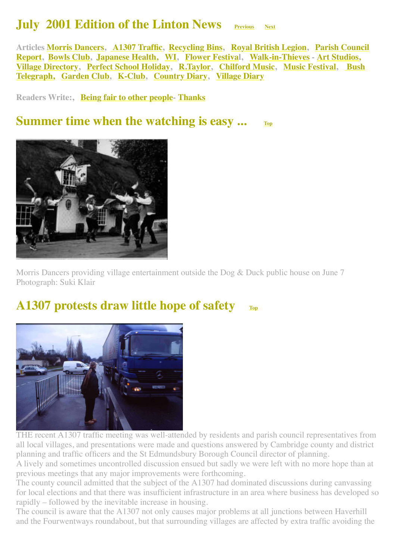#### **July 2001 Edition of the Linton News [Previous](http://www.linton.info/lintonnews/0106.html) [Next](http://www.linton.info/lintonnews/0108.html)**

<span id="page-0-2"></span>**Articles [Morris Dancers,](#page-0-0) [A1307 Traffic](#page-0-1), [Recycling Bins,](#page-1-0) [Royal British Legion](#page-1-1), Parish Council [Report, Bowls Club, Japanese Health, WI, Flower Festival, Walk-in-Thieves - Art Studios,](#page-2-0)  [Village Directory](#page-6-0)[, P](#page-9-0)[erfect School Holiday](#page-6-1)[, R](#page-9-0)[.Taylor](#page-7-0)[, C](#page-9-0)[hilford Musi](#page-8-0)[c,](#page-9-0) [Music Festiva](#page-8-1)[l, Bush](#page-9-0) Telegraph, [Garden Club](#page-9-1), [K-Club](#page-10-0), [Country Diary,](#page-10-1) [Village Diary](#page-11-0)**

**Readers Write:, [Being fair to other people](#page-3-2)- [Thanks](#page-4-2)**

#### <span id="page-0-0"></span>**Summer time when the watching is easy ... [Top](#page-0-2)**



Morris Dancers providing village entertainment outside the Dog & Duck public house on June 7 Photograph: Suki Klair

#### <span id="page-0-1"></span>**A1307 protests draw little hope of safety TD**<sub>I</sub>



THE recent A1307 traffic meeting was well-attended by residents and parish council representatives from all local villages, and presentations were made and questions answered by Cambridge county and district planning and traffic officers and the St Edmundsbury Borough Council director of planning.

A lively and sometimes uncontrolled discussion ensued but sadly we were left with no more hope than at previous meetings that any major improvements were forthcoming.

The county council admitted that the subject of the A1307 had dominated discussions during canvassing for local elections and that there was insufficient infrastructure in an area where business has developed so rapidly – followed by the inevitable increase in housing.

The council is aware that the A1307 not only causes major problems at all junctions between Haverhill and the Fourwentways roundabout, but that surrounding villages are affected by extra traffic avoiding the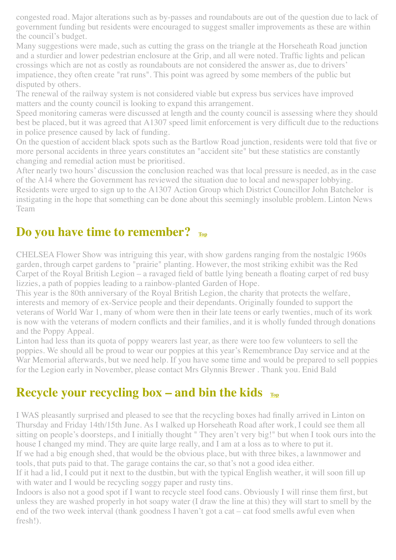congested road. Major alterations such as by-passes and roundabouts are out of the question due to lack of government funding but residents were encouraged to suggest smaller improvements as these are within the council's budget.

Many suggestions were made, such as cutting the grass on the triangle at the Horseheath Road junction and a sturdier and lower pedestrian enclosure at the Grip, and all were noted. Traffic lights and pelican crossings which are not as costly as roundabouts are not considered the answer as, due to drivers' impatience, they often create "rat runs". This point was agreed by some members of the public but disputed by others.

The renewal of the railway system is not considered viable but express bus services have improved matters and the county council is looking to expand this arrangement.

Speed monitoring cameras were discussed at length and the county council is assessing where they should best be placed, but it was agreed that A1307 speed limit enforcement is very difficult due to the reductions in police presence caused by lack of funding.

On the question of accident black spots such as the Bartlow Road junction, residents were told that five or more personal accidents in three years constitutes an "accident site" but these statistics are constantly changing and remedial action must be prioritised.

After nearly two hours' discussion the conclusion reached was that local pressure is needed, as in the case of the A14 where the Government has reviewed the situation due to local and newspaper lobbying.

Residents were urged to sign up to the A1307 Action Group which District Councillor John Batchelor is instigating in the hope that something can be done about this seemingly insoluble problem. Linton News Team

#### <span id="page-1-1"></span>**Do you have time to remember? [Top](#page-0-2)**

CHELSEA Flower Show was intriguing this year, with show gardens ranging from the nostalgic 1960s garden, through carpet gardens to "prairie" planting. However, the most striking exhibit was the Red Carpet of the Royal British Legion – a ravaged field of battle lying beneath a floating carpet of red busy lizzies, a path of poppies leading to a rainbow-planted Garden of Hope.

This year is the 80th anniversary of the Royal British Legion, the charity that protects the welfare, interests and memory of ex-Service people and their dependants. Originally founded to support the veterans of World War 1, many of whom were then in their late teens or early twenties, much of its work is now with the veterans of modern conflicts and their families, and it is wholly funded through donations and the Poppy Appeal.

Linton had less than its quota of poppy wearers last year, as there were too few volunteers to sell the poppies. We should all be proud to wear our poppies at this year's Remembrance Day service and at the War Memorial afterwards, but we need help. If you have some time and would be prepared to sell poppies for the Legion early in November, please contact Mrs Glynnis Brewer . Thank you. Enid Bald

#### <span id="page-1-0"></span>**Recycle your recycling box – and bin the kids**  $_{T_{op}}$

I WAS pleasantly surprised and pleased to see that the recycling boxes had finally arrived in Linton on Thursday and Friday 14th/15th June. As I walked up Horseheath Road after work, I could see them all sitting on people's doorsteps, and I initially thought " They aren't very big!" but when I took ours into the house I changed my mind. They are quite large really, and I am at a loss as to where to put it. If we had a big enough shed, that would be the obvious place, but with three bikes, a lawnmower and tools, that puts paid to that. The garage contains the car, so that's not a good idea either.

If it had a lid, I could put it next to the dustbin, but with the typical English weather, it will soon fill up with water and I would be recycling soggy paper and rusty tins.

Indoors is also not a good spot if I want to recycle steel food cans. Obviously I will rinse them first, but unless they are washed properly in hot soapy water (I draw the line at this) they will start to smell by the end of the two week interval (thank goodness I haven't got a cat – cat food smells awful even when fresh!).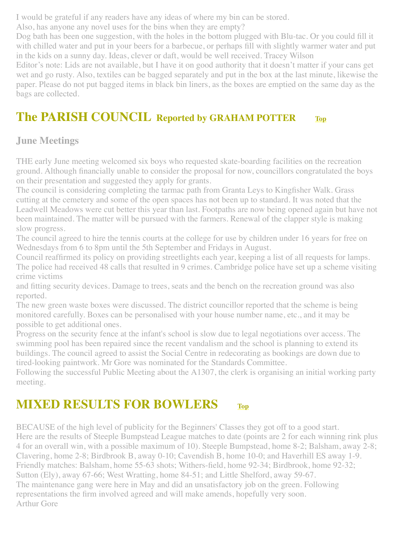I would be grateful if any readers have any ideas of where my bin can be stored.

Also, has anyone any novel uses for the bins when they are empty?

Dog bath has been one suggestion, with the holes in the bottom plugged with Blu-tac. Or you could fill it with chilled water and put in your beers for a barbecue, or perhaps fill with slightly warmer water and put in the kids on a sunny day. Ideas, clever or daft, would be well received. Tracey Wilson

Editor's note: Lids are not available, but I have it on good authority that it doesn't matter if your cans get wet and go rusty. Also, textiles can be bagged separately and put in the box at the last minute, likewise the paper. Please do not put bagged items in black bin liners, as the boxes are emptied on the same day as the bags are collected.

#### <span id="page-2-0"></span>**The PARISH COUNCIL Reported by GRAHAM POTTER [Top](#page-0-2)**

#### **June Meetings**

THE early June meeting welcomed six boys who requested skate-boarding facilities on the recreation ground. Although financially unable to consider the proposal for now, councillors congratulated the boys on their presentation and suggested they apply for grants.

The council is considering completing the tarmac path from Granta Leys to Kingfisher Walk. Grass cutting at the cemetery and some of the open spaces has not been up to standard. It was noted that the Leadwell Meadows were cut better this year than last. Footpaths are now being opened again but have not been maintained. The matter will be pursued with the farmers. Renewal of the clapper style is making slow progress.

The council agreed to hire the tennis courts at the college for use by children under 16 years for free on Wednesdays from 6 to 8pm until the 5th September and Fridays in August.

Council reaffirmed its policy on providing streetlights each year, keeping a list of all requests for lamps. The police had received 48 calls that resulted in 9 crimes. Cambridge police have set up a scheme visiting crime victims

and fitting security devices. Damage to trees, seats and the bench on the recreation ground was also reported.

The new green waste boxes were discussed. The district councillor reported that the scheme is being monitored carefully. Boxes can be personalised with your house number name, etc., and it may be possible to get additional ones.

Progress on the security fence at the infant's school is slow due to legal negotiations over access. The swimming pool has been repaired since the recent vandalism and the school is planning to extend its buildings. The council agreed to assist the Social Centre in redecorating as bookings are down due to tired-looking paintwork. Mr Gore was nominated for the Standards Committee.

Following the successful Public Meeting about the A1307, the clerk is organising an initial working party meeting.

#### <span id="page-2-1"></span>**MIXED RESULTS FOR BOWLERS [Top](#page-0-2)**

BECAUSE of the high level of publicity for the Beginners' Classes they got off to a good start. Here are the results of Steeple Bumpstead League matches to date (points are 2 for each winning rink plus 4 for an overall win, with a possible maximum of 10). Steeple Bumpstead, home 8-2; Balsham, away 2-8; Clavering, home 2-8; Birdbrook B, away 0-10; Cavendish B, home 10-0; and Haverhill ES away 1-9. Friendly matches: Balsham, home 55-63 shots; Withers-field, home 92-34; Birdbrook, home 92-32; Sutton (Ely), away 67-66; West Wratting, home 84-51; and Little Shelford, away 59-67. The maintenance gang were here in May and did an unsatisfactory job on the green. Following representations the firm involved agreed and will make amends, hopefully very soon. Arthur Gore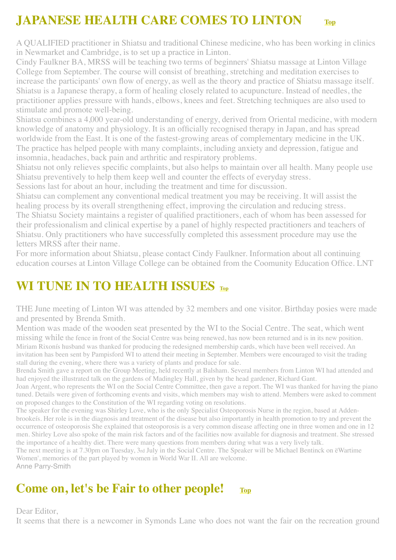### <span id="page-3-0"></span>**JAPANESE HEALTH CARE COMES TO LINTON [Top](#page-0-2)**

A QUALIFIED practitioner in Shiatsu and traditional Chinese medicine, who has been working in clinics in Newmarket and Cambridge, is to set up a practice in Linton.

Cindy Faulkner BA, MRSS will be teaching two terms of beginners' Shiatsu massage at Linton Village College from September. The course will consist of breathing, stretching and meditation exercises to increase the participants' own flow of energy, as well as the theory and practice of Shiatsu massage itself. Shiatsu is a Japanese therapy, a form of healing closely related to acupuncture. Instead of needles, the practitioner applies pressure with hands, elbows, knees and feet. Stretching techniques are also used to stimulate and promote well-being.

Shiatsu combines a 4,000 year-old understanding of energy, derived from Oriental medicine, with modern knowledge of anatomy and physiology. It is an officially recognised therapy in Japan, and has spread worldwide from the East. It is one of the fastest-growing areas of complementary medicine in the UK. The practice has helped people with many complaints, including anxiety and depression, fatigue and insomnia, headaches, back pain and arthritic and respiratory problems.

Shiatsu not only relieves specific complaints, but also helps to maintain over all health. Many people use Shiatsu preventively to help them keep well and counter the effects of everyday stress.

Sessions last for about an hour, including the treatment and time for discussion.

Shiatsu can complement any conventional medical treatment you may be receiving. It will assist the healing process by its overall strengthening effect, improving the circulation and reducing stress.

The Shiatsu Society maintains a register of qualified practitioners, each of whom has been assessed for their professionalism and clinical expertise by a panel of highly respected practitioners and teachers of Shiatsu. Only practitioners who have successfully completed this assessment procedure may use the letters MRSS after their name.

For more information about Shiatsu, please contact Cindy Faulkner. Information about all continuing education courses at Linton Village College can be obtained from the Coomunity Education Office. LNT

#### <span id="page-3-1"></span>**WI TUNE IN TO HEALTH ISSUES TOP**

THE June meeting of Linton WI was attended by 32 members and one visitor. Birthday posies were made and presented by Brenda Smith.

Mention was made of the wooden seat presented by the WI to the Social Centre. The seat, which went

missing while the fence in front of the Social Centre was being renewed, has now been returned and is in its new position. Miriam Rixonís husband was thanked for producing the redesigned membership cards, which have been well received. An invitation has been sent by Pampisford WI to attend their meeting in September. Members were encouraged to visit the trading stall during the evening, where there was a variety of plants and produce for sale.

Brenda Smith gave a report on the Group Meeting, held recently at Balsham. Several members from Linton WI had attended and had enjoyed the illustrated talk on the gardens of Madingley Hall, given by the head gardener, Richard Gant.

Joan Argent, who represents the WI on the Social Centre Committee, then gave a report. The WI was thanked for having the piano tuned. Details were given of forthcoming events and visits, which members may wish to attend. Members were asked to comment on proposed changes to the Constitution of the WI regarding voting on resolutions.

The speaker for the evening was Shirley Love, who is the only Specialist Osteoporosis Nurse in the region, based at Addenbrookeís. Her role is in the diagnosis and treatment of the disease but also importantly in health promotion to try and prevent the occurrence of osteoporosis She explained that osteoporosis is a very common disease affecting one in three women and one in 12 men. Shirley Love also spoke of the main risk factors and of the facilities now available for diagnosis and treatment. She stressed the importance of a healthy diet. There were many questions from members during what was a very lively talk.

The next meeting is at 7.30pm on Tuesday, 3rd July in the Social Centre. The Speaker will be Michael Bentinck on ëWartime Women', memories of the part played by women in World War II. All are welcome.

Anne Parry-Smith

#### <span id="page-3-2"></span>**Come on, let's be Fair to other people!**  $_{Top}$  $_{Top}$  $_{Top}$

#### Dear Editor,

It seems that there is a newcomer in Symonds Lane who does not want the fair on the recreation ground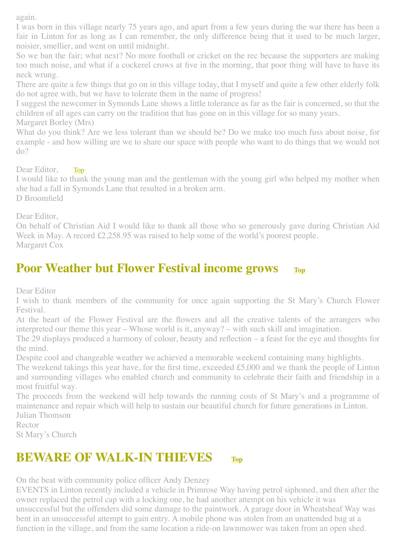again.

I was born in this village nearly 75 years ago, and apart from a few years during the war there has been a fair in Linton for as long as I can remember, the only difference being that it used to be much larger, noisier, smellier, and went on until midnight.

So we ban the fair; what next? No more football or cricket on the rec because the supporters are making too much noise, and what if a cockerel crows at five in the morning, that poor thing will have to have its neck wrung.

There are quite a few things that go on in this village today, that I myself and quite a few other elderly folk do not agree with, but we have to tolerate them in the name of progress!

I suggest the newcomer in Symonds Lane shows a little tolerance as far as the fair is concerned, so that the children of all ages can carry on the tradition that has gone on in this village for so many years.

Margaret Borley (Mrs)

What do you think? Are we less tolerant than we should be? Do we make too much fuss about noise, for example - and how willing are we to share our space with people who want to do things that we would not do?

<span id="page-4-2"></span>Dear Editor, [Top](#page-0-2)

I would like to thank the young man and the gentleman with the young girl who helped my mother when she had a fall in Symonds Lane that resulted in a broken arm. D Broomfield

Dear Editor,

On behalf of Christian Aid I would like to thank all those who so generously gave during Christian Aid Week in May. A record £2,258.95 was raised to help some of the world's poorest people. Margaret Cox

#### <span id="page-4-0"></span>**Poor Weather but Flower Festival income grows [Top](#page-0-2)**

Dear Editor

I wish to thank members of the community for once again supporting the St Mary's Church Flower Festival.

At the heart of the Flower Festival are the flowers and all the creative talents of the arrangers who interpreted our theme this year – Whose world is it, anyway? – with such skill and imagination.

The 29 displays produced a harmony of colour, beauty and reflection – a feast for the eye and thoughts for the mind.

Despite cool and changeable weather we achieved a memorable weekend containing many highlights.

The weekend takings this year have, for the first time, exceeded £5,000 and we thank the people of Linton and surrounding villages who enabled church and community to celebrate their faith and friendship in a most fruitful way.

The proceeds from the weekend will help towards the running costs of St Mary's and a programme of maintenance and repair which will help to sustain our beautiful church for future generations in Linton. Julian Thomson

Rector

St Mary's Church

#### <span id="page-4-1"></span>**BEWARE OF WALK-IN THIEVES** [Top](#page-0-2)

On the beat with community police officer Andy Denzey

EVENTS in Linton recently included a vehicle in Primrose Way having petrol siphoned, and then after the owner replaced the petrol cap with a locking one, he had another attempt on his vehicle it was unsuccessful but the offenders did some damage to the paintwork. A garage door in Wheatsheaf Way was bent in an unsuccessful attempt to gain entry. A mobile phone was stolen from an unattended bag at a function in the village, and from the same location a ride-on lawnmower was taken from an open shed.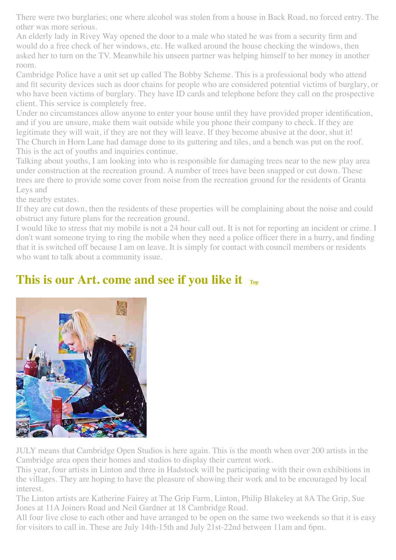There were two burglaries; one where alcohol was stolen from a house in Back Road, no forced entry. The other was more serious.

An elderly lady in Rivey Way opened the door to a male who stated he was from a security firm and would do a free check of her windows, etc. He walked around the house checking the windows, then asked her to turn on the TV. Meanwhile his unseen partner was helping himself to her money in another room.

Cambridge Police have a unit set up called The Bobby Scheme. This is a professional body who attend and fit security devices such as door chains for people who are considered potential victims of burglary, or who have been victims of burglary. They have ID cards and telephone before they call on the prospective client. This service is completely free.

Under no circumstances allow anyone to enter your house until they have provided proper identification, and if you are unsure, make them wait outside while you phone their company to check. If they are legitimate they will wait, if they are not they will leave. If they become abusive at the door, shut it! The Church in Horn Lane had damage done to its guttering and tiles, and a bench was put on the roof. This is the act of youths and inquiries continue.

Talking about youths, I am looking into who is responsible for damaging trees near to the new play area under construction at the recreation ground. A number of trees have been snapped or cut down. These trees are there to provide some cover from noise from the recreation ground for the residents of Granta Leys and

the nearby estates.

If they are cut down, then the residents of these properties will be complaining about the noise and could obstruct any future plans for the recreation ground.

I would like to stress that my mobile is not a 24 hour call out. It is not for reporting an incident or crime. I don't want someone trying to ring the mobile when they need a police officer there in a hurry, and finding that it is switched off because I am on leave. It is simply for contact with council members or residents who want to talk about a community issue.

#### <span id="page-5-0"></span>**This is our Art. come and see if you like it**  $_{\text{Top}}$  $_{\text{Top}}$  $_{\text{Top}}$



JULY means that Cambridge Open Studios is here again. This is the month when over 200 artists in the Cambridge area open their homes and studios to display their current work.

This year, four artists in Linton and three in Hadstock will be participating with their own exhibitions in the villages. They are hoping to have the pleasure of showing their work and to be encouraged by local interest.

The Linton artists are Katherine Fairey at The Grip Farm, Linton, Philip Blakeley at 8A The Grip, Sue Jones at 11A Joiners Road and Neil Gardner at 18 Cambridge Road.

All four live close to each other and have arranged to be open on the same two weekends so that it is easy for visitors to call in. These are July 14th-15th and July 21st-22nd between 11am and 6pm.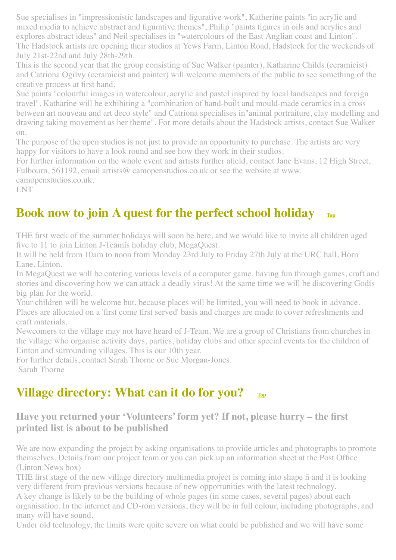Sue specialises in "impressionistic landscapes and figurative work", Katherine paints "in acrylic and mixed media to achieve abstract and figurative themes", Philip "paints figures in oils and acrylics and explores abstract ideas" and Neil specialises in "watercolours of the East Anglian coast and Linton". The Hadstock artists are opening their studios at Yews Farm, Linton Road, Hadstock for the weekends of July 21st-22nd and July 28th-29th.

This is the second year that the group consisting of Sue Walker (painter), Katharine Childs (ceramicist) and Catriona Ogilvy (ceramicist and painter) will welcome members of the public to see something of the creative process at first hand.

Sue paints "colourful images in watercolour, acrylic and pastel inspired by local landscapes and foreign travel", Katharine will be exhibiting a "combination of hand-built and mould-made ceramics in a cross between art nouveau and art deco style" and Catriona specialises in"animal portraiture, clay modelling and drawing taking movement as her theme". For more details about the Hadstock artists, contact Sue Walker on.

The purpose of the open studios is not just to provide an opportunity to purchase. The artists are very happy for visitors to have a look round and see how they work in their studios.

For further information on the whole event and artists further afield, contact Jane Evans, 12 High Street, Fulbourn, 561192, email artists@ camopenstudios.co.uk or see the website at www.

camopenstudios.co.uk,

LNT

#### <span id="page-6-1"></span>**Book now to join A quest for the perfect school holiday [Top](#page-0-2)**

THE first week of the summer holidays will soon be here, and we would like to invite all children aged five to 11 to join Linton J-Teamís holiday club, MegaQuest.

It will be held from 10am to noon from Monday 23rd July to Friday 27th July at the URC hall, Horn Lane, Linton.

In MegaQuest we will be entering various levels of a computer game, having fun through games, craft and stories and discovering how we can attack a deadly virus! At the same time we will be discovering Godís big plan for the world.

Your children will be welcome but, because places will be limited, you will need to book in advance. Places are allocated on a 'first come first served' basis and charges are made to cover refreshments and craft materials.

Newcomers to the village may not have heard of J-Team. We are a group of Christians from churches in the village who organise activity days, parties, holiday clubs and other special events for the children of Linton and surrounding villages. This is our 10th year.

For further details, contact Sarah Thorne or Sue Morgan-Jones. Sarah Thorne

#### <span id="page-6-0"></span>**Village directory: What can it do for you?**  $_{Top}$  $_{Top}$  $_{Top}$

**Have you returned your 'Volunteers' form yet? If not, please hurry – the first printed list is about to be published**

We are now expanding the project by asking organisations to provide articles and photographs to promote themselves. Details from our project team or you can pick up an information sheet at the Post Office (Linton News box)

THE first stage of the new village directory multimedia project is coming into shape ñ and it is looking very different from previous versions because of new opportunities with the latest technology.

A key change is likely to be the building of whole pages (in some cases, several pages) about each organisation. In the internet and CD-rom versions, they will be in full colour, including photographs, and many will have sound.

Under old technology, the limits were quite severe on what could be published and we will have some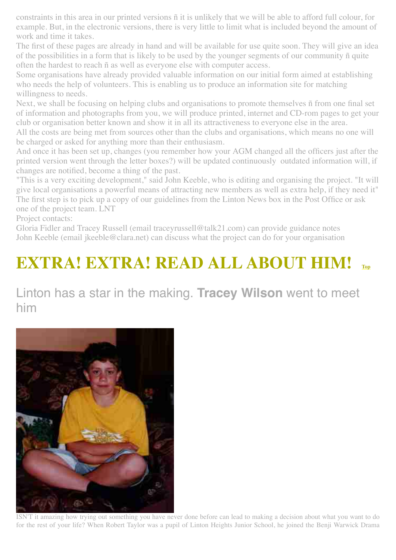constraints in this area in our printed versions ñ it is unlikely that we will be able to afford full colour, for example. But, in the electronic versions, there is very little to limit what is included beyond the amount of work and time it takes.

The first of these pages are already in hand and will be available for use quite soon. They will give an idea of the possibilities in a form that is likely to be used by the younger segments of our community ñ quite often the hardest to reach ñ as well as everyone else with computer access.

Some organisations have already provided valuable information on our initial form aimed at establishing who needs the help of volunteers. This is enabling us to produce an information site for matching willingness to needs.

Next, we shall be focusing on helping clubs and organisations to promote themselves ñ from one final set of information and photographs from you, we will produce printed, internet and CD-rom pages to get your club or organisation better known and show it in all its attractiveness to everyone else in the area.

All the costs are being met from sources other than the clubs and organisations, which means no one will be charged or asked for anything more than their enthusiasm.

And once it has been set up, changes (you remember how your AGM changed all the officers just after the printed version went through the letter boxes?) will be updated continuously outdated information will, if changes are notified, become a thing of the past.

"This is a very exciting development," said John Keeble, who is editing and organising the project. "It will give local organisations a powerful means of attracting new members as well as extra help, if they need it" The first step is to pick up a copy of our guidelines from the Linton News box in the Post Office or ask one of the project team. LNT

Project contacts:

Gloria Fidler and Tracey Russell (email traceyrussell@talk21.com) can provide guidance notes John Keeble (email jkeeble@clara.net) can discuss what the project can do for your organisation

# <span id="page-7-0"></span>**EXTRA! EXTRA! READ ALL ABOUT HIM!**

#### Linton has a star in the making. **Tracey Wilson** went to meet him



ISN'T it amazing how trying out something you have never done before can lead to making a decision about what you want to do for the rest of your life? When Robert Taylor was a pupil of Linton Heights Junior School, he joined the Benji Warwick Drama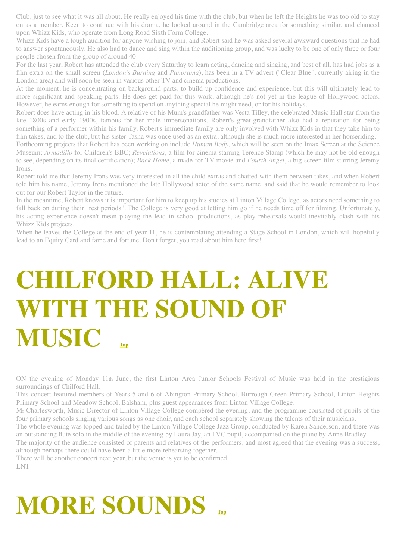Club, just to see what it was all about. He really enjoyed his time with the club, but when he left the Heights he was too old to stay on as a member. Keen to continue with his drama, he looked around in the Cambridge area for something similar, and chanced upon Whizz Kids, who operate from Long Road Sixth Form College.

Whizz Kids have a tough audition for anyone wishing to join, and Robert said he was asked several awkward questions that he had to answer spontaneously. He also had to dance and sing within the auditioning group, and was lucky to be one of only three or four people chosen from the group of around 40.

For the last year, Robert has attended the club every Saturday to learn acting, dancing and singing, and best of all, has had jobs as a film extra on the small screen (*London's Burning* and *Panorama*), has been in a TV advert ("Clear Blue", currently airing in the London area) and will soon be seen in various other TV and cinema productions.

At the moment, he is concentrating on background parts, to build up confidence and experience, but this will ultimately lead to more significant and speaking parts. He does get paid for this work, although he's not yet in the league of Hollywood actors. However, he earns enough for something to spend on anything special he might need, or for his holidays.

Robert does have acting in his blood. A relative of his Mum's grandfather was Vesta Tilley, the celebrated Music Hall star from the late 1800s and early 1900s, famous for her male impersonations. Robert's great-grandfather also had a reputation for being something of a performer within his family. Robert's immediate family are only involved with Whizz Kids in that they take him to film takes, and to the club, but his sister Tasha was once used as an extra, although she is much more interested in her horseriding.

Forthcoming projects that Robert has been working on include *Human Body,* which will be seen on the Imax Screen at the Science Museum; *Armadillo* for Children's BBC; *Revelations*, a film for cinema starring Terence Stamp (which he may not be old enough to see, depending on its final certification); *Back Home*, a made-for-TV movie and *Fourth Angel*, a big-screen film starring Jeremy Irons.

Robert told me that Jeremy Irons was very interested in all the child extras and chatted with them between takes, and when Robert told him his name, Jeremy Irons mentioned the late Hollywood actor of the same name, and said that he would remember to look out for our Robert Taylor in the future.

In the meantime, Robert knows it is important for him to keep up his studies at Linton Village College, as actors need something to fall back on during their "rest periods". The College is very good at letting him go if he needs time off for filming. Unfortunately, his acting experience doesn't mean playing the lead in school productions, as play rehearsals would inevitably clash with his Whizz Kids projects.

When he leaves the College at the end of year 11, he is contemplating attending a Stage School in London, which will hopefully lead to an Equity Card and fame and fortune. Don't forget, you read about him here first!

# <span id="page-8-0"></span>**CHILFORD HALL: ALIVE WITH THE SOUND OF MUSIC**

ON the evening of Monday 11th June, the first Linton Area Junior Schools Festival of Music was held in the prestigious surroundings of Chilford Hall.

This concert featured members of Years 5 and 6 of Abington Primary School, Burrough Green Primary School, Linton Heights Primary School and Meadow School, Balsham, plus guest appearances from Linton Village College.

Mr Charlesworth, Music Director of Linton Village College compèred the evening, and the programme consisted of pupils of the four primary schools singing various songs as one choir, and each school separately showing the talents of their musicians.

The whole evening was topped and tailed by the Linton Village College Jazz Group, conducted by Karen Sanderson, and there was an outstanding flute solo in the middle of the evening by Laura Jay, an LVC pupil, accompanied on the piano by Anne Bradley.

The majority of the audience consisted of parents and relatives of the performers, and most agreed that the evening was a success, although perhaps there could have been a little more rehearsing together.

There will be another concert next year, but the venue is yet to be confirmed. LNT

# <span id="page-8-1"></span>**MORE SOUNDS**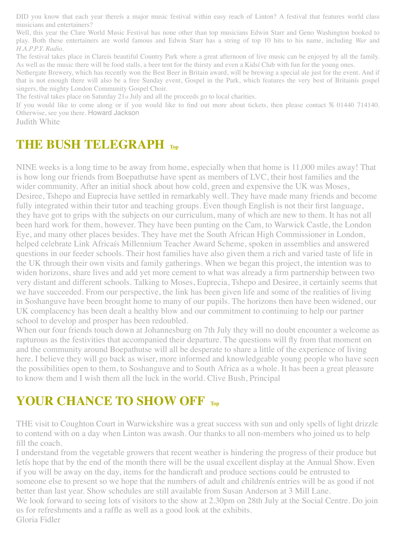DID you know that each year thereís a major music festival within easy reach of Linton? A festival that features world class musicians and entertainers?

Well, this year the Clare World Music Festival has none other than top musicians Edwin Starr and Geno Washington booked to play. Both these entertainers are world famous and Edwin Starr has a string of top 10 hits to his name, including *War* and *H.A.P.P.Y. Radio*.

The festival takes place in Clareís beautiful Country Park where a great afternoon of live music can be enjoyed by all the family. As well as the music there will be food stalls, a beer tent for the thirsty and even a Kidsí Club with fun for the young ones.

Nethergate Brewery, which has recently won the Best Beer in Britain award, will be brewing a special ale just for the event. And if that is not enough there will also be a free Sunday event, Gospel in the Park, which features the very best of Britainís gospel singers, the mighty London Community Gospel Choir.

The festival takes place on Saturday 21st July and all the proceeds go to local charities.

If you would like to come along or if you would like to find out more about tickets, then please contact % 01440 714140. Otherwise, see you there. Howard Jackson

Judith White

#### <span id="page-9-0"></span>**THE BUSH TELEGRAPH [Top](#page-0-2)**

NINE weeks is a long time to be away from home, especially when that home is 11,000 miles away! That is how long our friends from Boepathutse have spent as members of LVC, their host families and the wider community. After an initial shock about how cold, green and expensive the UK was Moses, Desiree, Tshepo and Euprecia have settled in remarkably well. They have made many friends and become fully integrated within their tutor and teaching groups. Even though English is not their first language, they have got to grips with the subjects on our curriculum, many of which are new to them. It has not all been hard work for them, however. They have been punting on the Cam, to Warwick Castle, the London Eye, and many other places besides. They have met the South African High Commissioner in London, helped celebrate Link Africaís Millennium Teacher Award Scheme, spoken in assemblies and answered questions in our feeder schools. Their host families have also given them a rich and varied taste of life in the UK through their own visits and family gatherings. When we began this project, the intention was to widen horizons, share lives and add yet more cement to what was already a firm partnership between two very distant and different schools. Talking to Moses, Euprecia, Tshepo and Desiree, it certainly seems that we have succeeded. From our perspective, the link has been given life and some of the realities of living in Soshanguve have been brought home to many of our pupils. The horizons then have been widened, our UK complacency has been dealt a healthy blow and our commitment to continuing to help our partner school to develop and prosper has been redoubled.

When our four friends touch down at Johannesburg on 7th July they will no doubt encounter a welcome as rapturous as the festivities that accompanied their departure. The questions will fly from that moment on and the community around Boepathutse will all be desperate to share a little of the experience of living here. I believe they will go back as wiser, more informed and knowledgeable young people who have seen the possibilities open to them, to Soshanguve and to South Africa as a whole. It has been a great pleasure to know them and I wish them all the luck in the world. Clive Bush, Principal

#### <span id="page-9-1"></span>**YOUR CHANCE TO SHOW OFF [Top](#page-0-2)**

THE visit to Coughton Court in Warwickshire was a great success with sun and only spells of light drizzle to contend with on a day when Linton was awash. Our thanks to all non-members who joined us to help fill the coach.

I understand from the vegetable growers that recent weather is hindering the progress of their produce but letís hope that by the end of the month there will be the usual excellent display at the Annual Show. Even if you will be away on the day, items for the handicraft and produce sections could be entrusted to someone else to present so we hope that the numbers of adult and childrenís entries will be as good if not better than last year. Show schedules are still available from Susan Anderson at 3 Mill Lane. We look forward to seeing lots of visitors to the show at 2.30pm on 28th July at the Social Centre. Do join us for refreshments and a raffle as well as a good look at the exhibits. Gloria Fidler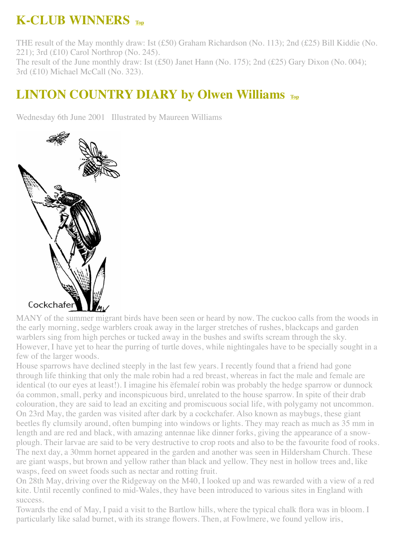### <span id="page-10-0"></span>**K-CLUB WINNERS [Top](#page-0-2)**

THE result of the May monthly draw: Ist (£50) Graham Richardson (No. 113); 2nd (£25) Bill Kiddie (No. 221); 3rd (£10) Carol Northrop (No. 245). The result of the June monthly draw: Ist (£50) Janet Hann (No. 175); 2nd (£25) Gary Dixon (No. 004); 3rd (£10) Michael McCall (No. 323).

#### <span id="page-10-1"></span>**LINTON COUNTRY DIARY by Olwen Williams [Top](#page-0-2)**

Wednesday 6th June 2001 Illustrated by Maureen Williams



MANY of the summer migrant birds have been seen or heard by now. The cuckoo calls from the woods in the early morning, sedge warblers croak away in the larger stretches of rushes, blackcaps and garden warblers sing from high perches or tucked away in the bushes and swifts scream through the sky. However, I have yet to hear the purring of turtle doves, while nightingales have to be specially sought in a few of the larger woods.

House sparrows have declined steeply in the last few years. I recently found that a friend had gone through life thinking that only the male robin had a red breast, whereas in fact the male and female are identical (to our eyes at least!). I imagine his ëfemaleí robin was probably the hedge sparrow or dunnock óa common, small, perky and inconspicuous bird, unrelated to the house sparrow. In spite of their drab colouration, they are said to lead an exciting and promiscuous social life, with polygamy not uncommon. On 23rd May, the garden was visited after dark by a cockchafer. Also known as maybugs, these giant beetles fly clumsily around, often bumping into windows or lights. They may reach as much as 35 mm in length and are red and black, with amazing antennae like dinner forks, giving the appearance of a snowplough. Their larvae are said to be very destructive to crop roots and also to be the favourite food of rooks. The next day, a 30mm hornet appeared in the garden and another was seen in Hildersham Church. These are giant wasps, but brown and yellow rather than black and yellow. They nest in hollow trees and, like wasps, feed on sweet foods such as nectar and rotting fruit.

On 28th May, driving over the Ridgeway on the M40, I looked up and was rewarded with a view of a red kite. Until recently confined to mid-Wales, they have been introduced to various sites in England with success.

Towards the end of May, I paid a visit to the Bartlow hills, where the typical chalk flora was in bloom. I particularly like salad burnet, with its strange flowers. Then, at Fowlmere, we found yellow iris,